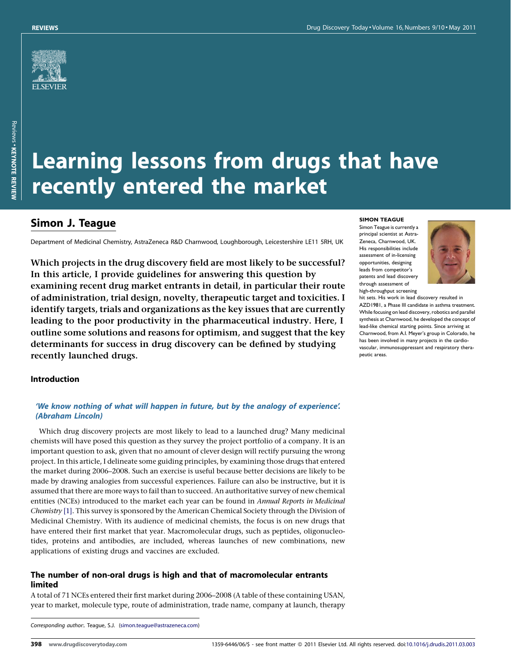

# Learning lessons from drugs that have recently entered the market

# Simon J. Teague

Department of Medicinal Chemistry, AstraZeneca R&D Charnwood, Loughborough, Leicestershire LE11 5RH, UK

Which projects in the drug discovery field are most likely to be successful? In this article, I provide guidelines for answering this question by examining recent drug market entrants in detail, in particular their route of administration, trial design, novelty, therapeutic target and toxicities. I identify targets, trials and organizations as the key issues that are currently leading to the poor productivity in the pharmaceutical industry. Here, I outline some solutions and reasons for optimism, and suggest that the key determinants for success in drug discovery can be defined by studying recently launched drugs.

#### SIMON TEAGUE

Simon Teague is currently a principal scientist at Astra-Zeneca, Charnwood, UK. His responsibilities include assessment of in-licensing opportunities, designing leads from competitor's patents and lead discovery through assessment of high-throughput screening



hit sets. His work in lead discovery resulted in AZD1981, a Phase III candidate in asthma treatment. While focusing on lead discovery, robotics and parallel synthesis at Charnwood, he developed the concept of lead-like chemical starting points. Since arriving at Charnwood, from A.I. Meyer's group in Colorado, he has been involved in many projects in the cardiovascular, immunosuppressant and respiratory therapeutic areas.

#### Introduction

# 'We know nothing of what will happen in future, but by the analogy of experience'. (Abraham Lincoln)

Which drug discovery projects are most likely to lead to a launched drug? Many medicinal chemists will have posed this question as they survey the project portfolio of a company. It is an important question to ask, given that no amount of clever design will rectify pursuing the wrong project. In this article, I delineate some guiding principles, by examining those drugs that entered the market during 2006–2008. Such an exercise is useful because better decisions are likely to be made by drawing analogies from successful experiences. Failure can also be instructive, but it is assumed that there are more ways to fail than to succeed. An authoritative survey of new chemical entities (NCEs) introduced to the market each year can be found in Annual Reports in Medicinal Chemistry [\[1\].](#page-12-0) This survey is sponsored by the American Chemical Society through the Division of Medicinal Chemistry. With its audience of medicinal chemists, the focus is on new drugs that have entered their first market that year. Macromolecular drugs, such as peptides, oligonucleotides, proteins and antibodies, are included, whereas launches of new combinations, new applications of existing drugs and vaccines are excluded.

# The number of non-oral drugs is high and that of macromolecular entrants limited

A total of 71 NCEs entered their first market during 2006–2008 (A table of these containing USAN, year to market, molecule type, route of administration, trade name, company at launch, therapy

Corresponding author:. Teague, S.J. [\(simon.teague@astrazeneca.com](mailto:simon.teague@astrazeneca.com))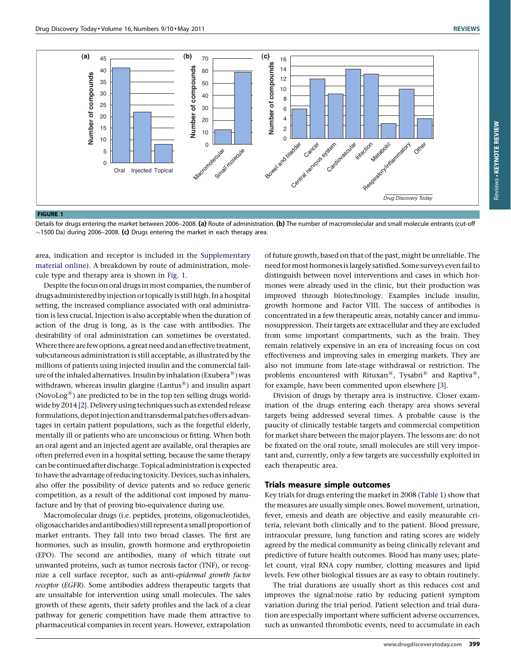

Details for drugs entering the market between 2006–2008. (a) Route of administration. (b) The number of macromolecular and small molecule entrants (cut-off  $\sim$ 1500 Da) during 2006–2008. (c) Drugs entering the market in each therapy area.

area, indication and receptor is included in the Supplementary material online). A breakdown by route of administration, molecule type and therapy area is shown in Fig. 1.

Despite the focus on oral drugs in most companies, the number of drugs administered by injection or topically is still high. In a hospital setting, the increased compliance associated with oral administration is less crucial. Injection is also acceptable when the duration of action of the drug is long, as is the case with antibodies. The desirability of oral administration can sometimes be overstated. Where there are few options, a great need and an effective treatment, subcutaneous administration is still acceptable, as illustrated by the millions of patients using injected insulin and the commercial failure of the inhaled alternatives. Insulin by inhalation (Exubera $^{\circledR}$ ) was withdrawn, whereas insulin glargine (Lantus $\textcircled{\tiny{R}}$ ) and insulin aspart (NovoLog<sup>®</sup>) are predicted to be in the top ten selling drugs world-wide by 2014 [\[2\]](#page-12-0). Delivery using techniques such as extended release formulations, depot injection and transdermal patches offers advantages in certain patient populations, such as the forgetful elderly, mentally ill or patients who are unconscious or fitting. When both an oral agent and an injected agent are available, oral therapies are often preferred even in a hospital setting, because the same therapy can becontinued after discharge.Topical administrationis expected to have the advantage of reducing toxicity. Devices, such as inhalers, also offer the possibility of device patents and so reduce generic competition, as a result of the additional cost imposed by manufacture and by that of proving bio-equivalence during use.

Macromolecular drugs (i.e. peptides, proteins, oligonucleotides, oligosaccharides and antibodies) still represent a small proportion of market entrants. They fall into two broad classes. The first are hormones, such as insulin, growth hormone and erythropoietin (EPO). The second are antibodies, many of which titrate out unwanted proteins, such as tumor necrosis factor (TNF), or recognize a cell surface receptor, such as anti-epidermal growth factor receptor (EGFR). Some antibodies address therapeutic targets that are unsuitable for intervention using small molecules. The sales growth of these agents, their safety profiles and the lack of a clear pathway for generic competition have made them attractive to pharmaceutical companies in recent years. However, extrapolation

of future growth, based on that of the past, might be unreliable. The need for mosthormones islargely satisfied.Some surveys evenfail to distinguish between novel interventions and cases in which hormones were already used in the clinic, but their production was improved through biotechnology. Examples include insulin, growth hormone and Factor VIII. The success of antibodies is concentrated in a few therapeutic areas, notably cancer and immunosuppression. Their targets are extracellular and they are excluded from some important compartments, such as the brain. They remain relatively expensive in an era of increasing focus on cost effectiveness and improving sales in emerging markets. They are also not immune from late-stage withdrawal or restriction. The problems encountered with Rituxan<sup>®</sup>, Tysabri<sup>®</sup> and Raptiva<sup>®</sup>, for example, have been commented upon elsewhere [\[3\]](#page-12-0).

Division of drugs by therapy area is instructive. Closer examination of the drugs entering each therapy area shows several targets being addressed several times. A probable cause is the paucity of clinically testable targets and commercial competition for market share between the major players. The lessons are: do not be fixated on the oral route, small molecules are still very important and, currently, only a few targets are successfully exploited in each therapeutic area.

#### Trials measure simple outcomes

Key trials for drugs entering the market in 2008 [\(Table 1](#page-2-0)) show that the measures are usually simple ones. Bowel movement, urination, fever, emesis and death are objective and easily measurable criteria, relevant both clinically and to the patient. Blood pressure, intraocular pressure, lung function and rating scores are widely agreed by the medical community as being clinically relevant and predictive of future health outcomes. Blood has many uses; platelet count, viral RNA copy number, clotting measures and lipid levels. Few other biological tissues are as easy to obtain routinely.

The trial durations are usually short as this reduces cost and improves the signal:noise ratio by reducing patient symptom variation during the trial period. Patient selection and trial duration are especially important where sufficient adverse occurrences, such as unwanted thrombotic events, need to accumulate in each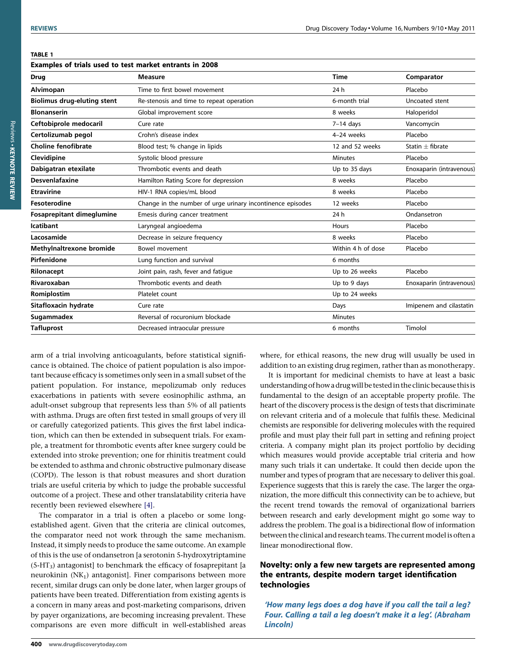<span id="page-2-0"></span>TABLE 1

| Examples of trials used to test market entrants in 2008 |                                                            |                 |                          |  |
|---------------------------------------------------------|------------------------------------------------------------|-----------------|--------------------------|--|
| <b>Drug</b>                                             | <b>Measure</b>                                             | <b>Time</b>     | Comparator               |  |
| Alvimopan<br>Time to first bowel movement               |                                                            | 24 h            | Placebo                  |  |
| <b>Biolimus drug-eluting stent</b>                      | Re-stenosis and time to repeat operation                   | 6-month trial   | Uncoated stent           |  |
| <b>Blonanserin</b>                                      | Global improvement score                                   |                 | Haloperidol              |  |
| Ceftobiprole medocaril                                  | Cure rate                                                  | $7-14$ days     | Vancomycin               |  |
| Certolizumab pegol                                      | Crohn's disease index                                      | 4-24 weeks      | Placebo                  |  |
| <b>Choline fenofibrate</b>                              | Blood test; % change in lipids                             | 12 and 52 weeks | Statin $\pm$ fibrate     |  |
| Clevidipine                                             | Systolic blood pressure                                    | <b>Minutes</b>  | Placebo                  |  |
| Dabigatran etexilate                                    | Thrombotic events and death                                | Up to 35 days   | Enoxaparin (intravenous) |  |
| <b>Desvenlafaxine</b>                                   | Hamilton Rating Score for depression                       | 8 weeks         | Placebo                  |  |
| <b>Etravirine</b>                                       | HIV-1 RNA copies/mL blood                                  | 8 weeks         | Placebo                  |  |
| <b>Fesoterodine</b>                                     | Change in the number of urge urinary incontinence episodes | 12 weeks        | Placebo                  |  |
| <b>Fosaprepitant dimeglumine</b>                        | Emesis during cancer treatment                             | 24 h            | Ondansetron              |  |
| Icatibant                                               | Laryngeal angioedema                                       | Hours           | Placebo                  |  |
| Lacosamide                                              | Decrease in seizure frequency                              |                 | Placebo                  |  |
| Methylnaltrexone bromide                                | Bowel movement                                             |                 | Placebo                  |  |
| Pirfenidone<br>Lung function and survival               |                                                            | 6 months        |                          |  |
| Rilonacept<br>Joint pain, rash, fever and fatique       |                                                            | Up to 26 weeks  | Placebo                  |  |
| Rivaroxaban                                             | Thrombotic events and death<br>Up to 9 days                |                 | Enoxaparin (intravenous) |  |
| Romiplostim                                             | Platelet count<br>Up to 24 weeks                           |                 |                          |  |
| Sitafloxacin hydrate                                    | Cure rate                                                  | Days            | Imipenem and cilastatin  |  |
| Sugammadex                                              | Reversal of rocuronium blockade                            | <b>Minutes</b>  |                          |  |
| <b>Tafluprost</b>                                       | Timolol<br>Decreased intraocular pressure<br>6 months      |                 |                          |  |
|                                                         |                                                            |                 |                          |  |

arm of a trial involving anticoagulants, before statistical significance is obtained. The choice of patient population is also important because efficacy is sometimes only seen in a small subset of the patient population. For instance, mepolizumab only reduces exacerbations in patients with severe eosinophilic asthma, an adult-onset subgroup that represents less than 5% of all patients with asthma. Drugs are often first tested in small groups of very ill or carefully categorized patients. This gives the first label indication, which can then be extended in subsequent trials. For example, a treatment for thrombotic events after knee surgery could be extended into stroke prevention; one for rhinitis treatment could be extended to asthma and chronic obstructive pulmonary disease (COPD). The lesson is that robust measures and short duration trials are useful criteria by which to judge the probable successful outcome of a project. These and other translatability criteria have recently been reviewed elsewhere [\[4\]](#page-12-0).

The comparator in a trial is often a placebo or some longestablished agent. Given that the criteria are clinical outcomes, the comparator need not work through the same mechanism. Instead, it simply needs to produce the same outcome. An example of this is the use of ondansetron [a serotonin 5-hydroxytriptamine  $(5-HT_3)$  antagonist] to benchmark the efficacy of fosaprepitant [a neurokinin  $(NK_1)$  antagonist]. Finer comparisons between more recent, similar drugs can only be done later, when larger groups of patients have been treated. Differentiation from existing agents is a concern in many areas and post-marketing comparisons, driven by payer organizations, are becoming increasing prevalent. These comparisons are even more difficult in well-established areas

where, for ethical reasons, the new drug will usually be used in addition to an existing drug regimen, rather than as monotherapy.

It is important for medicinal chemists to have at least a basic understanding of how a drug will be tested in the clinic because this is fundamental to the design of an acceptable property profile. The heart of the discovery process is the design of tests that discriminate on relevant criteria and of a molecule that fulfils these. Medicinal chemists are responsible for delivering molecules with the required profile and must play their full part in setting and refining project criteria. A company might plan its project portfolio by deciding which measures would provide acceptable trial criteria and how many such trials it can undertake. It could then decide upon the number and types of program that are necessary to deliver this goal. Experience suggests that this is rarely the case. The larger the organization, the more difficult this connectivity can be to achieve, but the recent trend towards the removal of organizational barriers between research and early development might go some way to address the problem. The goal is a bidirectional flow of information between the clinical and research teams. The current model is often a linear monodirectional flow.

# Novelty: only a few new targets are represented among the entrants, despite modern target identification technologies

'How many legs does a dog have if you call the tail a leg? Four. Calling a tail a leg doesn't make it a leg'. (Abraham Lincoln)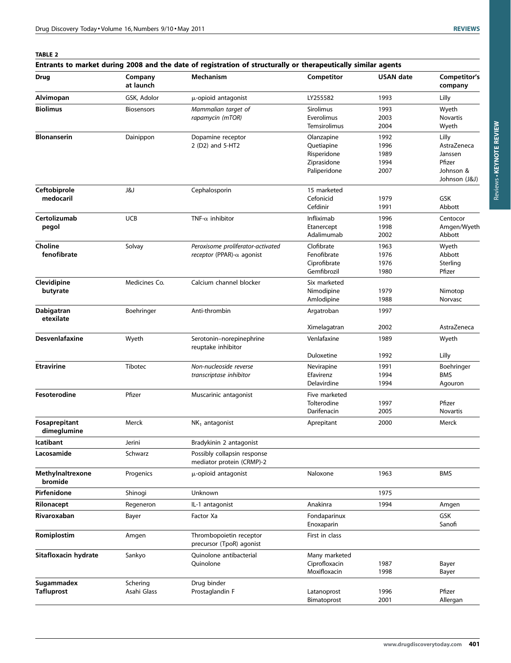company

Competitor USAN date Competitor's

Sirolimus 1993 Wyeth<br>Everolimus 2003 Novartis Everolimus 2003 Novart<br>19 Temsirolimus 2004 Wyeth

Olanzapine 1992 Lilly<br>Quetiapine 1996 AstraZeneca Quetiapine 1996 AstraZeneca<br>Risperidone 1989 Janssen

<span id="page-3-0"></span>

|                    | Entrants to market during 2008 and the date of registration of structurally or therapeutically similar agents |                          |                     |                  |            |
|--------------------|---------------------------------------------------------------------------------------------------------------|--------------------------|---------------------|------------------|------------|
| <b>Drug</b>        | Company<br>at launch                                                                                          | <b>Mechanism</b>         | Competitor          | <b>USAN date</b> | Cor<br>con |
| Alvimopan          | GSK, Adolor                                                                                                   | $\mu$ -opioid antagonist | LY255582            | 1993             | Lilly      |
| <b>Biolimus</b>    | <b>Biosensors</b>                                                                                             | Mammalian target of      | Sirolimus           | 1993             | <b>Wy</b>  |
|                    |                                                                                                               | rapamycin (mTOR)         | Everolimus          | 2003             | Noy        |
|                    |                                                                                                               |                          | <b>Temsirolimus</b> | 2004             | Wy         |
| <b>Blonanserin</b> | Dainippon                                                                                                     | Dopamine receptor        | Olanzapine          | 1992             | Lilly      |
|                    |                                                                                                               | 2 (D2) and 5-HT2         | Quetiapine          | 1996             | Asti       |
|                    |                                                                                                               |                          | Risperidone         | 1989             | Jan        |
|                    |                                                                                                               |                          | Ziprasidone         | 1994             | Pfiz       |
|                    |                                                                                                               |                          | Paliperidone        | 2007             | Joh        |
|                    |                                                                                                               |                          |                     |                  | Joh        |
| Ceftobiprole       | ر 18                                                                                                          | Cephalosporin            | 15 marketed         |                  |            |
| medocaril          |                                                                                                               |                          | Cefonicid           | 1979             | GSK        |
|                    |                                                                                                               |                          | Cefdinir            | 1991             | Abk        |
| Certolizumab       | <b>UCB</b>                                                                                                    | TNF- $\alpha$ inhibitor  | Infliximab          | 1996             | Cer        |
|                    |                                                                                                               |                          |                     |                  |            |

|                                |               |                                                          | Ziprasidone<br>Paliperidone | 1994<br>2007 | Pfizer<br>Johnson &<br>Johnson (J&J) |
|--------------------------------|---------------|----------------------------------------------------------|-----------------------------|--------------|--------------------------------------|
| Ceftobiprole                   | ر 18          | Cephalosporin                                            | 15 marketed                 |              |                                      |
| medocaril                      |               |                                                          | Cefonicid                   | 1979         | GSK                                  |
|                                |               |                                                          | Cefdinir                    | 1991         | Abbott                               |
| Certolizumab                   | <b>UCB</b>    | TNF- $\alpha$ inhibitor                                  | Infliximab                  | 1996         | Centocor                             |
| pegol                          |               |                                                          | Etanercept                  | 1998         | Amgen/Wyeth                          |
|                                |               |                                                          | Adalimumab                  | 2002         | Abbott                               |
| Choline                        | Solvay        | Peroxisome proliferator-activated                        | Clofibrate                  | 1963         | Wyeth                                |
| fenofibrate                    |               | receptor (PPAR)- $\alpha$ agonist                        | Fenofibrate                 | 1976         | Abbott                               |
|                                |               |                                                          | Ciprofibrate<br>Gemfibrozil | 1976<br>1980 | Sterling<br>Pfizer                   |
|                                |               |                                                          |                             |              |                                      |
| Clevidipine                    | Medicines Co. | Calcium channel blocker                                  | Six marketed                |              |                                      |
| butyrate                       |               |                                                          | Nimodipine<br>Amlodipine    | 1979<br>1988 | Nimotop<br>Norvasc                   |
|                                |               |                                                          |                             |              |                                      |
| <b>Dabigatran</b><br>etexilate | Boehringer    | Anti-thrombin                                            | Argatroban                  | 1997         |                                      |
|                                |               |                                                          | Ximelagatran                | 2002         | AstraZeneca                          |
| Desvenlafaxine                 | Wyeth         | Serotonin-norepinephrine<br>reuptake inhibitor           | Venlafaxine                 | 1989         | Wyeth                                |
|                                |               |                                                          | Duloxetine                  | 1992         | Lilly                                |
| <b>Etravirine</b>              | Tibotec       | Non-nucleoside reverse                                   | Nevirapine                  | 1991         | Boehringer                           |
|                                |               | transcriptase inhibitor                                  | Efavirenz                   | 1994         | <b>BMS</b>                           |
|                                |               |                                                          | Delavirdine                 | 1994         | Agouron                              |
| Fesoterodine                   | Pfizer        | Muscarinic antagonist                                    | Five marketed               |              |                                      |
|                                |               |                                                          | Tolterodine                 | 1997         | Pfizer                               |
|                                |               |                                                          | Darifenacin                 | 2005         | Novartis                             |
| Fosaprepitant<br>dimeglumine   | Merck         | $NK1$ antagonist                                         | Aprepitant                  | 2000         | Merck                                |
| Icatibant                      | Jerini        | Bradykinin 2 antagonist                                  |                             |              |                                      |
| Lacosamide                     | Schwarz       | Possibly collapsin response<br>mediator protein (CRMP)-2 |                             |              |                                      |
| Methylnaltrexone<br>bromide    | Progenics     | µ-opioid antagonist                                      | Naloxone                    | 1963         | <b>BMS</b>                           |
| Pirfenidone                    | Shinogi       | Unknown                                                  |                             | 1975         |                                      |
| Rilonacept                     | Regeneron     | IL-1 antagonist                                          | Anakinra                    | 1994         | Amgen                                |
| Rivaroxaban                    | Bayer         | Factor Xa                                                | Fondaparinux                |              | GSK                                  |
|                                |               |                                                          | Enoxaparin                  |              | Sanofi                               |
| Romiplostim                    | Amgen         | Thrombopoietin receptor<br>precursor (TpoR) agonist      | First in class              |              |                                      |
| Sitafloxacin hydrate           | Sankyo        | Quinolone antibacterial                                  | Many marketed               |              |                                      |
|                                |               | Quinolone                                                | Ciprofloxacin               | 1987         | Bayer                                |
|                                |               |                                                          | Moxifloxacin                | 1998         | Bayer                                |
| Sugammadex                     | Schering      | Drug binder                                              |                             |              |                                      |
| <b>Tafluprost</b>              | Asahi Glass   | Prostaglandin F                                          | Latanoprost                 | 1996         | Pfizer                               |
|                                |               |                                                          | Bimatoprost                 | 2001         | Allergan                             |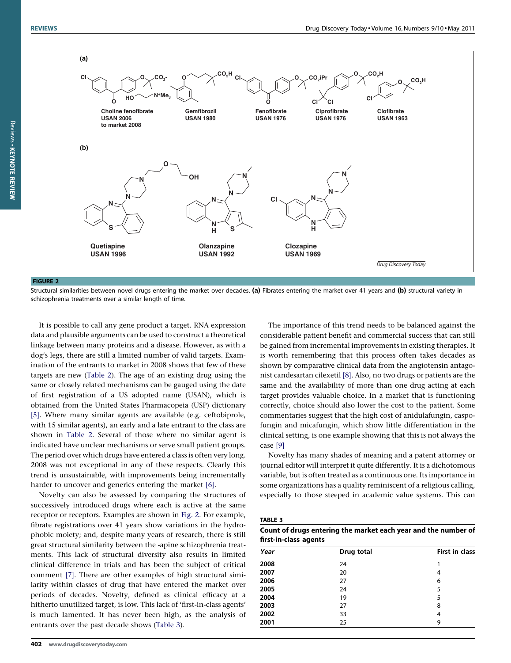

#### FIGURE 2

Structural similarities between novel drugs entering the market over decades. (a) Fibrates entering the market over 41 years and (b) structural variety in schizophrenia treatments over a similar length of time.

It is possible to call any gene product a target. RNA expression data and plausible arguments can be used to construct a theoretical linkage between many proteins and a disease. However, as with a dog's legs, there are still a limited number of valid targets. Examination of the entrants to market in 2008 shows that few of these targets are new [\(Table 2\)](#page-3-0). The age of an existing drug using the same or closely related mechanisms can be gauged using the date of first registration of a US adopted name (USAN), which is obtained from the United States Pharmacopeia (USP) dictionary [\[5\]](#page-12-0). Where many similar agents are available (e.g. ceftobiprole, with 15 similar agents), an early and a late entrant to the class are shown in [Table 2.](#page-3-0) Several of those where no similar agent is indicated have unclear mechanisms or serve small patient groups. The period over which drugs have entered a class is often very long. 2008 was not exceptional in any of these respects. Clearly this trend is unsustainable, with improvements being incrementally harder to uncover and generics entering the market [\[6\]](#page-12-0).

Novelty can also be assessed by comparing the structures of successively introduced drugs where each is active at the same receptor or receptors. Examples are shown in Fig. 2. For example, fibrate registrations over 41 years show variations in the hydrophobic moiety; and, despite many years of research, there is still great structural similarity between the -apine schizophrenia treatments. This lack of structural diversity also results in limited clinical difference in trials and has been the subject of critical comment [\[7\].](#page-12-0) There are other examples of high structural similarity within classes of drug that have entered the market over periods of decades. Novelty, defined as clinical efficacy at a hitherto unutilized target, is low. This lack of 'first-in-class agents' is much lamented. It has never been high, as the analysis of entrants over the past decade shows (Table 3).

The importance of this trend needs to be balanced against the considerable patient benefit and commercial success that can still be gained from incremental improvements in existing therapies. It is worth remembering that this process often takes decades as shown by comparative clinical data from the angiotensin antagonist candesartan cilexetil [\[8\]](#page-12-0). Also, no two drugs or patients are the same and the availability of more than one drug acting at each target provides valuable choice. In a market that is functioning correctly, choice should also lower the cost to the patient. Some commentaries suggest that the high cost of anidulafungin, caspofungin and micafungin, which show little differentiation in the clinical setting, is one example showing that this is not always the case [\[9\]](#page-12-0)

Novelty has many shades of meaning and a patent attorney or journal editor will interpret it quite differently. It is a dichotomous variable, but is often treated as a continuous one. Its importance in some organizations has a quality reminiscent of a religious calling, especially to those steeped in academic value systems. This can

#### TABLE 3

Count of drugs entering the market each year and the number of first-in-class agents

| Drug total | First in class |
|------------|----------------|
| 24         |                |
| 20         | 4              |
| 27         | 6              |
| 24         | 5              |
| 19         | 5              |
| 27         | 8              |
| 33         | 4              |
| 25         | 9              |
|            |                |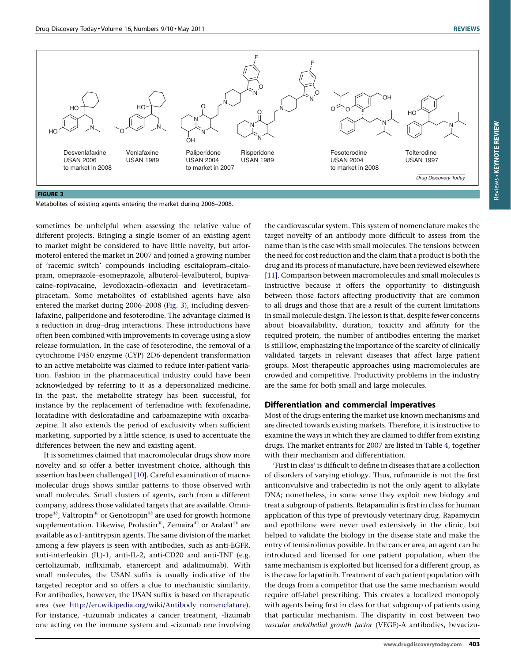





sometimes be unhelpful when assessing the relative value of different projects. Bringing a single isomer of an existing agent to market might be considered to have little novelty, but arformoterol entered the market in 2007 and joined a growing number of 'racemic switch' compounds including escitalopram–citalopram, omeprazole–esomeprazole, albuterol–levalbuterol, bupivacaine–ropivacaine, levofloxacin–ofloxacin and levetiracetam– piracetam. Some metabolites of established agents have also entered the market during 2006–2008 (Fig. 3), including desvenlafaxine, paliperidone and fesoterodine. The advantage claimed is a reduction in drug–drug interactions. These introductions have often been combined with improvements in coverage using a slow release formulation. In the case of fesoterodine, the removal of a cytochrome P450 enzyme (CYP) 2D6-dependent transformation to an active metabolite was claimed to reduce inter-patient variation. Fashion in the pharmaceutical industry could have been acknowledged by referring to it as a depersonalized medicine. In the past, the metabolite strategy has been successful, for instance by the replacement of terfenadine with fexofenadine, loratadine with desloratadine and carbamazepine with oxcarbazepine. It also extends the period of exclusivity when sufficient marketing, supported by a little science, is used to accentuate the differences between the new and existing agent.

It is sometimes claimed that macromolecular drugs show more novelty and so offer a better investment choice, although this assertion has been challenged [\[10\].](#page-12-0) Careful examination of macromolecular drugs shows similar patterns to those observed with small molecules. Small clusters of agents, each from a different company, address those validated targets that are available. Omnitrope<sup>®</sup>, Valtropin<sup>®</sup> or Genotropin<sup>®</sup> are used for growth hormone supplementation. Likewise, Prolastin<sup>®</sup>, Zemaira<sup>®</sup> or Aralast<sup>®</sup> are available as  $\alpha$ 1-antitrypsin agents. The same division of the market among a few players is seen with antibodies, such as anti-EGFR, anti-interleukin (IL)-1, anti-IL-2, anti-CD20 and anti-TNF (e.g. certolizumab, infliximab, etanercept and adalimumab). With small molecules, the USAN suffix is usually indicative of the targeted receptor and so offers a clue to mechanistic similarity. For antibodies, however, the USAN suffix is based on therapeutic area (see [http://en.wikipedia.org/wiki/Antibody\\_nomenclature\)](http://en.wikipedia.org/wiki/Antibody_nomenclature). For instance, -tuzumab indicates a cancer treatment, -lizumab one acting on the immune system and -cizumab one involving

the cardiovascular system. This system of nomenclature makes the target novelty of an antibody more difficult to assess from the name than is the case with small molecules. The tensions between the need for cost reduction and the claim that a product is both the drug and its process of manufacture, have been reviewed elsewhere [\[11\].](#page-12-0) Comparison between macromolecules and small molecules is instructive because it offers the opportunity to distinguish between those factors affecting productivity that are common to all drugs and those that are a result of the current limitations in small molecule design. The lesson is that, despite fewer concerns about bioavailability, duration, toxicity and affinity for the required protein, the number of antibodies entering the market is still low, emphasizing the importance of the scarcity of clinically validated targets in relevant diseases that affect large patient groups. Most therapeutic approaches using macromolecules are crowded and competitive. Productivity problems in the industry are the same for both small and large molecules.

#### Differentiation and commercial imperatives

Most of the drugs entering the market use known mechanisms and are directed towards existing markets. Therefore, it is instructive to examine the ways in which they are claimed to differ from existing drugs. The market entrants for 2007 are listed in [Table 4](#page-6-0), together with their mechanism and differentiation.

'First in class' is difficult to define in diseases that are a collection of disorders of varying etiology. Thus, rufinamide is not the first anticonvulsive and trabectedin is not the only agent to alkylate DNA; nonetheless, in some sense they exploit new biology and treat a subgroup of patients. Retapamulin is first in class for human application of this type of previously veterinary drug. Rapamycin and epothilone were never used extensively in the clinic, but helped to validate the biology in the disease state and make the entry of temsirolimus possible. In the cancer area, an agent can be introduced and licensed for one patient population, when the same mechanism is exploited but licensed for a different group, as is the case for lapatinib. Treatment of each patient population with the drugs from a competitor that use the same mechanism would require off-label prescribing. This creates a localized monopoly with agents being first in class for that subgroup of patients using that particular mechanism. The disparity in cost between two vascular endothelial growth factor (VEGF)-A antibodies, bevacizu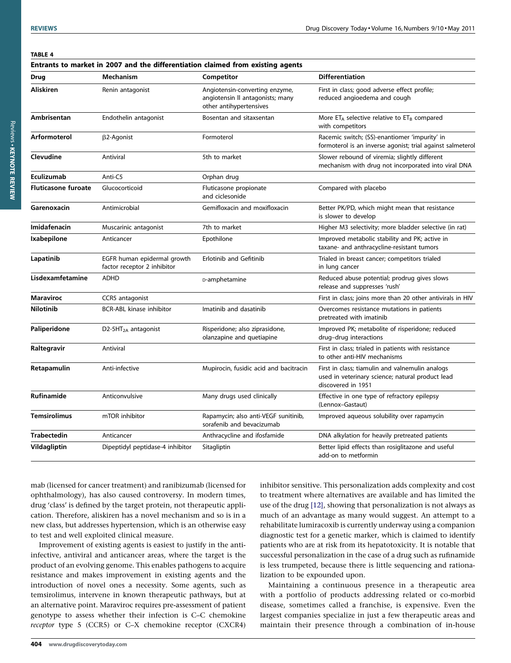<span id="page-6-0"></span>TABLE 4

| ī           |
|-------------|
|             |
| ľ<br>í      |
| i           |
|             |
| F<br>i<br>ı |
| i           |
| í           |
|             |
| Ĺ<br>֚֚֡֕   |

REVIEW

| Entrants to market in 2007 and the differentiation claimed from existing agents |                                                            |                                                                                               |                                                                                                                           |
|---------------------------------------------------------------------------------|------------------------------------------------------------|-----------------------------------------------------------------------------------------------|---------------------------------------------------------------------------------------------------------------------------|
| <b>Drug</b>                                                                     | <b>Mechanism</b>                                           | <b>Competitor</b>                                                                             | <b>Differentiation</b>                                                                                                    |
| <b>Aliskiren</b>                                                                | Renin antagonist                                           | Angiotensin-converting enzyme,<br>angiotensin II antagonists; many<br>other antihypertensives | First in class; good adverse effect profile;<br>reduced angioedema and cough                                              |
| Ambrisentan                                                                     | Endothelin antagonist                                      | Bosentan and sitaxsentan                                                                      | More $ET_A$ selective relative to $ET_B$ compared<br>with competitors                                                     |
| Arformoterol                                                                    | $\beta$ 2-Agonist                                          | Formoterol                                                                                    | Racemic switch; (SS)-enantiomer 'impurity' in<br>formoterol is an inverse agonist; trial against salmetero                |
| Clevudine                                                                       | Antiviral                                                  | 5th to market                                                                                 | Slower rebound of viremia; slightly different<br>mechanism with drug not incorporated into viral DNA                      |
| <b>Eculizumab</b>                                                               | Anti-C5                                                    | Orphan drug                                                                                   |                                                                                                                           |
| <b>Fluticasone furoate</b>                                                      | Glucocorticoid                                             | Fluticasone propionate<br>and ciclesonide                                                     | Compared with placebo                                                                                                     |
| Garenoxacin                                                                     | Antimicrobial                                              | Gemifloxacin and moxifloxacin                                                                 | Better PK/PD, which might mean that resistance<br>is slower to develop                                                    |
| <b>Imidafenacin</b>                                                             | Muscarinic antagonist                                      | 7th to market                                                                                 | Higher M3 selectivity; more bladder selective (in rat)                                                                    |
| Ixabepilone                                                                     | Anticancer                                                 | Epothilone                                                                                    | Improved metabolic stability and PK; active in<br>taxane- and anthracycline-resistant tumors                              |
| Lapatinib                                                                       | EGFR human epidermal growth<br>factor receptor 2 inhibitor | Erlotinib and Gefitinib                                                                       | Trialed in breast cancer; competitors trialed<br>in lung cancer                                                           |
| Lisdexamfetamine                                                                | <b>ADHD</b>                                                | D-amphetamine                                                                                 | Reduced abuse potential; prodrug gives slows<br>release and suppresses 'rush'                                             |
| <b>Maraviroc</b>                                                                | CCR5 antagonist                                            |                                                                                               | First in class; joins more than 20 other antivirals in HIV                                                                |
| <b>Nilotinib</b>                                                                | <b>BCR-ABL kinase inhibitor</b>                            | Imatinib and dasatinib                                                                        | Overcomes resistance mutations in patients<br>pretreated with imatinib                                                    |
| Paliperidone                                                                    | D2-5HT <sub>2A</sub> antagonist                            | Risperidone; also ziprasidone,<br>olanzapine and quetiapine                                   | Improved PK; metabolite of risperidone; reduced<br>drug-drug interactions                                                 |
| Raltegravir                                                                     | Antiviral                                                  |                                                                                               | First in class; trialed in patients with resistance<br>to other anti-HIV mechanisms                                       |
| Retapamulin                                                                     | Anti-infective                                             | Mupirocin, fusidic acid and bacitracin                                                        | First in class; tiamulin and valnemulin analogs<br>used in veterinary science; natural product lead<br>discovered in 1951 |
| <b>Rufinamide</b>                                                               | Anticonvulsive                                             | Many drugs used clinically                                                                    | Effective in one type of refractory epilepsy<br>(Lennox-Gastaut)                                                          |
| <b>Temsirolimus</b>                                                             | mTOR inhibitor                                             | Rapamycin; also anti-VEGF sunitinib,<br>sorafenib and bevacizumab                             | Improved aqueous solubility over rapamycin                                                                                |
| <b>Trabectedin</b>                                                              | Anticancer                                                 | Anthracycline and ifosfamide                                                                  | DNA alkylation for heavily pretreated patients                                                                            |
| Vildagliptin                                                                    | Dipeptidyl peptidase-4 inhibitor                           | Sitagliptin                                                                                   | Better lipid effects than rosiglitazone and useful<br>add-on to metformin                                                 |

mab (licensed for cancer treatment) and ranibizumab (licensed for ophthalmology), has also caused controversy. In modern times, drug 'class' is defined by the target protein, not therapeutic application. Therefore, aliskiren has a novel mechanism and so is in a new class, but addresses hypertension, which is an otherwise easy to test and well exploited clinical measure.

Improvement of existing agents is easiest to justify in the antiinfective, antiviral and anticancer areas, where the target is the product of an evolving genome. This enables pathogens to acquire resistance and makes improvement in existing agents and the introduction of novel ones a necessity. Some agents, such as temsirolimus, intervene in known therapeutic pathways, but at an alternative point. Maraviroc requires pre-assessment of patient genotype to assess whether their infection is C–C chemokine receptor type 5 (CCR5) or C–X chemokine receptor (CXCR4)

inhibitor sensitive. This personalization adds complexity and cost to treatment where alternatives are available and has limited the use of the drug [\[12\],](#page-12-0) showing that personalization is not always as much of an advantage as many would suggest. An attempt to a rehabilitate lumiracoxib is currently underway using a companion diagnostic test for a genetic marker, which is claimed to identify patients who are at risk from its hepatotoxicity. It is notable that successful personalization in the case of a drug such as rufinamide is less trumpeted, because there is little sequencing and rationalization to be expounded upon.

Maintaining a continuous presence in a therapeutic area with a portfolio of products addressing related or co-morbid disease, sometimes called a franchise, is expensive. Even the largest companies specialize in just a few therapeutic areas and maintain their presence through a combination of in-house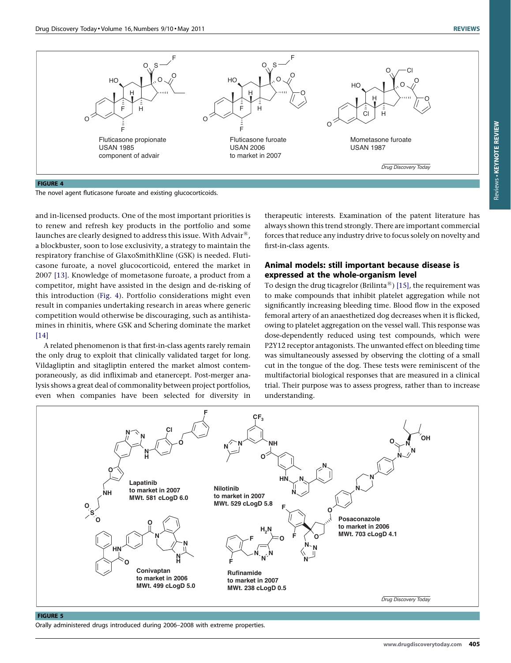<span id="page-7-0"></span>

The novel agent fluticasone furoate and existing glucocorticoids.

and in-licensed products. One of the most important priorities is to renew and refresh key products in the portfolio and some launches are clearly designed to address this issue. With Advair<sup>®</sup>, a blockbuster, soon to lose exclusivity, a strategy to maintain the respiratory franchise of GlaxoSmithKline (GSK) is needed. Fluticasone furoate, a novel glucocorticoid, entered the market in 2007 [\[13\].](#page-12-0) Knowledge of mometasone furoate, a product from a competitor, might have assisted in the design and de-risking of this introduction (Fig. 4). Portfolio considerations might even result in companies undertaking research in areas where generic competition would otherwise be discouraging, such as antihistamines in rhinitis, where GSK and Schering dominate the market [\[14\]](#page-12-0)

A related phenomenon is that first-in-class agents rarely remain the only drug to exploit that clinically validated target for long. Vildagliptin and sitagliptin entered the market almost contemporaneously, as did infliximab and etanercept. Post-merger analysis shows a great deal of commonality between project portfolios, even when companies have been selected for diversity in

therapeutic interests. Examination of the patent literature has always shown this trend strongly. There are important commercial forces that reduce any industry drive to focus solely on novelty and first-in-class agents.

# Animal models: still important because disease is expressed at the whole-organism level

To design the drug ticagrelor (Brilinta<sup>®</sup>) [\[15\],](#page-12-0) the requirement was to make compounds that inhibit platelet aggregation while not significantly increasing bleeding time. Blood flow in the exposed femoral artery of an anaesthetized dog decreases when it is flicked, owing to platelet aggregation on the vessel wall. This response was dose-dependently reduced using test compounds, which were P2Y12 receptor antagonists. The unwanted effect on bleeding time was simultaneously assessed by observing the clotting of a small cut in the tongue of the dog. These tests were reminiscent of the multifactorial biological responses that are measured in a clinical trial. Their purpose was to assess progress, rather than to increase understanding.



Orally administered drugs introduced during 2006–2008 with extreme properties.

KEYNOTE REVIEW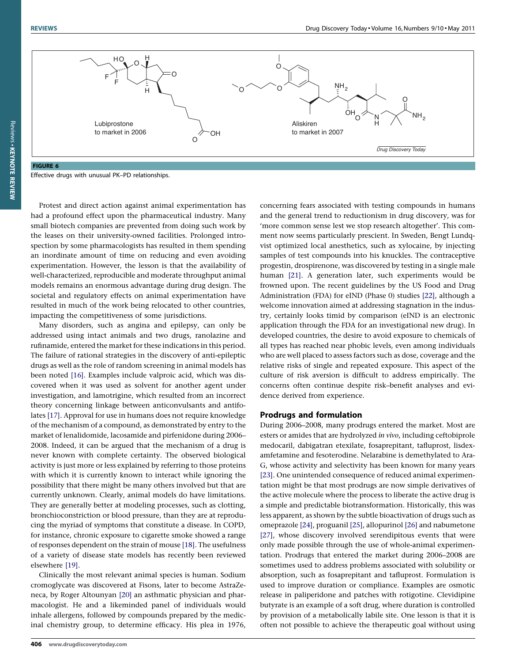<span id="page-8-0"></span>

Effective drugs with unusual PK–PD relationships.

Protest and direct action against animal experimentation has had a profound effect upon the pharmaceutical industry. Many small biotech companies are prevented from doing such work by the leases on their university-owned facilities. Prolonged introspection by some pharmacologists has resulted in them spending an inordinate amount of time on reducing and even avoiding experimentation. However, the lesson is that the availability of well-characterized, reproducible and moderate throughput animal models remains an enormous advantage during drug design. The societal and regulatory effects on animal experimentation have resulted in much of the work being relocated to other countries, impacting the competitiveness of some jurisdictions.

Many disorders, such as angina and epilepsy, can only be addressed using intact animals and two drugs, ranolazine and rufinamide, entered the market for these indications in this period. The failure of rational strategies in the discovery of anti-epileptic drugs as well as the role of random screening in animal models has been noted [\[16\]](#page-12-0). Examples include valproic acid, which was discovered when it was used as solvent for another agent under investigation, and lamotrigine, which resulted from an incorrect theory concerning linkage between anticonvulsants and antifolates [\[17\]](#page-12-0). Approval for use in humans does not require knowledge of the mechanism of a compound, as demonstrated by entry to the market of lenalidomide, lacosamide and pirfenidone during 2006– 2008. Indeed, it can be argued that the mechanism of a drug is never known with complete certainty. The observed biological activity is just more or less explained by referring to those proteins with which it is currently known to interact while ignoring the possibility that there might be many others involved but that are currently unknown. Clearly, animal models do have limitations. They are generally better at modeling processes, such as clotting, bronchioconstriction or blood pressure, than they are at reproducing the myriad of symptoms that constitute a disease. In COPD, for instance, chronic exposure to cigarette smoke showed a range of responses dependent on the strain of mouse [\[18\].](#page-12-0) The usefulness of a variety of disease state models has recently been reviewed elsewhere [\[19\].](#page-12-0)

Clinically the most relevant animal species is human. Sodium cromoglycate was discovered at Fisons, later to become AstraZeneca, by Roger Altounyan [\[20\]](#page-12-0) an asthmatic physician and pharmacologist. He and a likeminded panel of individuals would inhale allergens, followed by compounds prepared by the medicinal chemistry group, to determine efficacy. His plea in 1976,

concerning fears associated with testing compounds in humans and the general trend to reductionism in drug discovery, was for 'more common sense lest we stop research altogether'. This comment now seems particularly prescient. In Sweden, Bengt Lundqvist optimized local anesthetics, such as xylocaine, by injecting samples of test compounds into his knuckles. The contraceptive progestin, drospirenone, was discovered by testing in a single male human [\[21\]](#page-12-0). A generation later, such experiments would be frowned upon. The recent guidelines by the US Food and Drug Administration (FDA) for eIND (Phase 0) studies [\[22\],](#page-12-0) although a welcome innovation aimed at addressing stagnation in the industry, certainly looks timid by comparison (eIND is an electronic application through the FDA for an investigational new drug). In developed countries, the desire to avoid exposure to chemicals of all types has reached near phobic levels, even among individuals who are well placed to assess factors such as dose, coverage and the relative risks of single and repeated exposure. This aspect of the culture of risk aversion is difficult to address empirically. The concerns often continue despite risk–benefit analyses and evidence derived from experience.

#### Prodrugs and formulation

During 2006–2008, many prodrugs entered the market. Most are esters or amides that are hydrolyzed in vivo, including ceftobiprole medocaril, dabigatran etexilate, fosaprepitant, tafluprost, lisdexamfetamine and fesoterodine. Nelarabine is demethylated to Ara-G, whose activity and selectivity has been known for many years [\[23\]](#page-12-0). One unintended consequence of reduced animal experimentation might be that most prodrugs are now simple derivatives of the active molecule where the process to liberate the active drug is a simple and predictable biotransformation. Historically, this was less apparent, as shown by the subtle bioactivation of drugs such as omeprazole [\[24\],](#page-12-0) proguanil [\[25\],](#page-12-0) allopurinol [\[26\]](#page-12-0) and nabumetone [\[27\]](#page-12-0), whose discovery involved serendipitous events that were only made possible through the use of whole-animal experimentation. Prodrugs that entered the market during 2006–2008 are sometimes used to address problems associated with solubility or absorption, such as fosaprepitant and tafluprost. Formulation is used to improve duration or compliance. Examples are osmotic release in paliperidone and patches with rotigotine. Clevidipine butyrate is an example of a soft drug, where duration is controlled by provision of a metabolically labile site. One lesson is that it is often not possible to achieve the therapeutic goal without using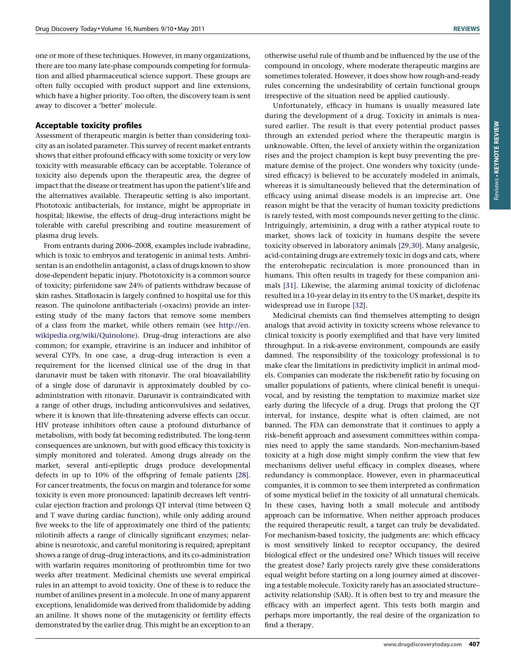one or more of these techniques. However, in many organizations, there are too many late-phase compounds competing for formulation and allied pharmaceutical science support. These groups are often fully occupied with product support and line extensions, which have a higher priority. Too often, the discovery team is sent away to discover a 'better' molecule.

#### Acceptable toxicity profiles

Assessment of therapeutic margin is better than considering toxicity as an isolated parameter. This survey of recent market entrants shows that either profound efficacy with some toxicity or very low toxicity with measurable efficacy can be acceptable. Tolerance of toxicity also depends upon the therapeutic area, the degree of impact that the disease or treatment has upon the patient's life and the alternatives available. Therapeutic setting is also important. Phototoxic antibacterials, for instance, might be appropriate in hospital; likewise, the effects of drug–drug interactions might be tolerable with careful prescribing and routine measurement of plasma drug levels.

From entrants during 2006–2008, examples include ivabradine, which is toxic to embryos and teratogenic in animal tests. Ambrisentan is an endothelin antagonist, a class of drugs known to show dose-dependent hepatic injury. Phototoxicity is a common source of toxicity; pirfenidone saw 24% of patients withdraw because of skin rashes. Sitafloxacin is largely confined to hospital use for this reason. The quinolone antibacterials (-oxacins) provide an interesting study of the many factors that remove some members of a class from the market, while others remain (see [http://en.](http://en.wikipedia.org/wiki/Quinolone) [wikipedia.org/wiki/Quinolone\)](http://en.wikipedia.org/wiki/Quinolone). Drug–drug interactions are also common; for example, etravirine is an inducer and inhibitor of several CYPs. In one case, a drug–drug interaction is even a requirement for the licensed clinical use of the drug in that darunavir must be taken with ritonavir. The oral bioavailability of a single dose of darunavir is approximately doubled by coadministration with ritonavir. Darunavir is contraindicated with a range of other drugs, including anticonvulsives and sedatives, where it is known that life-threatening adverse effects can occur. HIV protease inhibitors often cause a profound disturbance of metabolism, with body fat becoming redistributed. The long-term consequences are unknown, but with good efficacy this toxicity is simply monitored and tolerated. Among drugs already on the market, several anti-epileptic drugs produce developmental defects in up to 10% of the offspring of female patients [\[28\].](#page-12-0) For cancer treatments, the focus on margin and tolerance for some toxicity is even more pronounced: lapatinib decreases left ventricular ejection fraction and prolongs QT interval (time between Q and T wave during cardiac function), while only adding around five weeks to the life of approximately one third of the patients; nilotinib affects a range of clinically significant enzymes; nelarabine is neurotoxic, and careful monitoring is required; aprepitant shows a range of drug–drug interactions, and its co-administration with warfarin requires monitoring of prothrombin time for two weeks after treatment. Medicinal chemists use several empirical rules in an attempt to avoid toxicity. One of these is to reduce the number of anilines present in a molecule. In one of many apparent exceptions, lenalidomide was derived from thalidomide by adding an aniline. It shows none of the mutagenicity or fertility effects demonstrated by the earlier drug. This might be an exception to an

otherwise useful rule of thumb and be influenced by the use of the compound in oncology, where moderate therapeutic margins are sometimes tolerated. However, it does show how rough-and-ready rules concerning the undesirability of certain functional groups irrespective of the situation need be applied cautiously.

Unfortunately, efficacy in humans is usually measured late during the development of a drug. Toxicity in animals is measured earlier. The result is that every potential product passes through an extended period where the therapeutic margin is unknowable. Often, the level of anxiety within the organization rises and the project champion is kept busy preventing the premature demise of the project. One wonders why toxicity (undesired efficacy) is believed to be accurately modeled in animals, whereas it is simultaneously believed that the determination of efficacy using animal disease models is an imprecise art. One reason might be that the veracity of human toxicity predictions is rarely tested, with most compounds never getting to the clinic. Intriguingly, artemisinin, a drug with a rather atypical route to market, shows lack of toxicity in humans despite the severe toxicity observed in laboratory animals [\[29,30\].](#page-12-0) Many analgesic, acid-containing drugs are extremely toxic in dogs and cats, where the enterohepatic recirculation is more pronounced than in humans. This often results in tragedy for these companion animals [\[31\]](#page-12-0). Likewise, the alarming animal toxicity of diclofenac resulted in a 10-year delay in its entry to the US market, despite its widespread use in Europe [\[32\]](#page-12-0).

Medicinal chemists can find themselves attempting to design analogs that avoid activity in toxicity screens whose relevance to clinical toxicity is poorly exemplified and that have very limited throughput. In a risk-averse environment, compounds are easily damned. The responsibility of the toxicology professional is to make clear the limitations in predictivity implicit in animal models. Companies can moderate the risk:benefit ratio by focusing on smaller populations of patients, where clinical benefit is unequivocal, and by resisting the temptation to maximize market size early during the lifecycle of a drug. Drugs that prolong the QT interval, for instance, despite what is often claimed, are not banned. The FDA can demonstrate that it continues to apply a risk–benefit approach and assessment committees within companies need to apply the same standards. Non-mechanism-based toxicity at a high dose might simply confirm the view that few mechanisms deliver useful efficacy in complex diseases, where redundancy is commonplace. However, even in pharmaceutical companies, it is common to see them interpreted as confirmation of some mystical belief in the toxicity of all unnatural chemicals. In these cases, having both a small molecule and antibody approach can be informative. When neither approach produces the required therapeutic result, a target can truly be devalidated. For mechanism-based toxicity, the judgments are: which efficacy is most sensitively linked to receptor occupancy, the desired biological effect or the undesired one? Which tissues will receive the greatest dose? Early projects rarely give these considerations equal weight before starting on a long journey aimed at discovering a testable molecule. Toxicity rarely has an associated structure– activity relationship (SAR). It is often best to try and measure the efficacy with an imperfect agent. This tests both margin and perhaps more importantly, the real desire of the organization to find a therapy.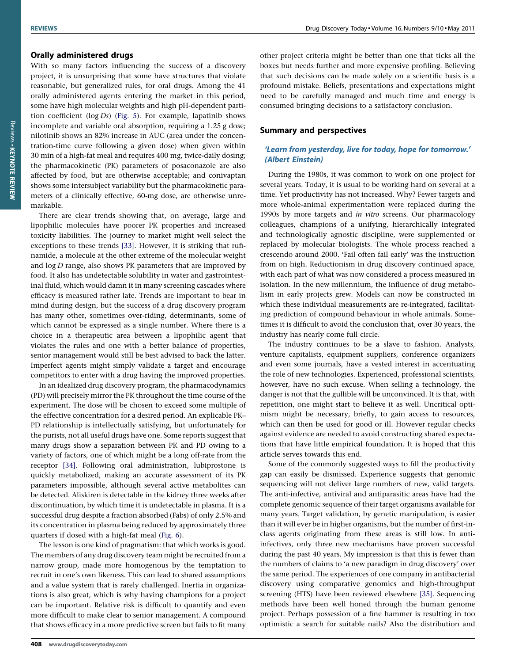#### Orally administered drugs

With so many factors influencing the success of a discovery project, it is unsurprising that some have structures that violate reasonable, but generalized rules, for oral drugs. Among the 41 orally administered agents entering the market in this period, some have high molecular weights and high pH-dependent partition coefficient ( $log Ds$ ) ([Fig. 5](#page-7-0)). For example, lapatinib shows incomplete and variable oral absorption, requiring a 1.25 g dose; nilotinib shows an 82% increase in AUC (area under the concentration-time curve following a given dose) when given within 30 min of a high-fat meal and requires 400 mg, twice-daily dosing; the pharmacokinetic (PK) parameters of posaconazole are also affected by food, but are otherwise acceptable; and conivaptan shows some intersubject variability but the pharmacokinetic parameters of a clinically effective, 60-mg dose, are otherwise unremarkable.

There are clear trends showing that, on average, large and lipophilic molecules have poorer PK properties and increased toxicity liabilities. The journey to market might well select the exceptions to these trends [\[33\]](#page-13-0). However, it is striking that rufinamide, a molecule at the other extreme of the molecular weight and  $log D$  range, also shows PK parameters that are improved by food. It also has undetectable solubility in water and gastrointestinal fluid, which would damn it in many screening cascades where efficacy is measured rather late. Trends are important to bear in mind during design, but the success of a drug discovery program has many other, sometimes over-riding, determinants, some of which cannot be expressed as a single number. Where there is a choice in a therapeutic area between a lipophilic agent that violates the rules and one with a better balance of properties, senior management would still be best advised to back the latter. Imperfect agents might simply validate a target and encourage competitors to enter with a drug having the improved properties.

In an idealized drug discovery program, the pharmacodynamics (PD) will precisely mirror the PK throughout the time course of the experiment. The dose will be chosen to exceed some multiple of the effective concentration for a desired period. An explicable PK– PD relationship is intellectually satisfying, but unfortunately for the purists, not all useful drugs have one. Some reports suggest that many drugs show a separation between PK and PD owing to a variety of factors, one of which might be a long off-rate from the receptor [\[34\].](#page-13-0) Following oral administration, lubiprostone is quickly metabolized, making an accurate assessment of its PK parameters impossible, although several active metabolites can be detected. Aliskiren is detectable in the kidney three weeks after discontinuation, by which time it is undetectable in plasma. It is a successful drug despite a fraction absorbed (Fabs) of only 2.5% and its concentration in plasma being reduced by approximately three quarters if dosed with a high-fat meal [\(Fig. 6](#page-8-0)).

The lesson is one kind of pragmatism: that which works is good. The members of any drug discovery team might be recruited from a narrow group, made more homogenous by the temptation to recruit in one's own likeness. This can lead to shared assumptions and a value system that is rarely challenged. Inertia in organizations is also great, which is why having champions for a project can be important. Relative risk is difficult to quantify and even more difficult to make clear to senior management. A compound that shows efficacy in a more predictive screen but fails to fit many

other project criteria might be better than one that ticks all the boxes but needs further and more expensive profiling. Believing that such decisions can be made solely on a scientific basis is a profound mistake. Beliefs, presentations and expectations might need to be carefully managed and much time and energy is consumed bringing decisions to a satisfactory conclusion.

# Summary and perspectives

### 'Learn from yesterday, live for today, hope for tomorrow.' (Albert Einstein)

During the 1980s, it was common to work on one project for several years. Today, it is usual to be working hard on several at a time. Yet productivity has not increased. Why? Fewer targets and more whole-animal experimentation were replaced during the 1990s by more targets and in vitro screens. Our pharmacology colleagues, champions of a unifying, hierarchically integrated and technologically agnostic discipline, were supplemented or replaced by molecular biologists. The whole process reached a crescendo around 2000. 'Fail often fail early' was the instruction from on high. Reductionism in drug discovery continued apace, with each part of what was now considered a process measured in isolation. In the new millennium, the influence of drug metabolism in early projects grew. Models can now be constructed in which these individual measurements are re-integrated, facilitating prediction of compound behaviour in whole animals. Sometimes it is difficult to avoid the conclusion that, over 30 years, the industry has nearly come full circle.

The industry continues to be a slave to fashion. Analysts, venture capitalists, equipment suppliers, conference organizers and even some journals, have a vested interest in accentuating the role of new technologies. Experienced, professional scientists, however, have no such excuse. When selling a technology, the danger is not that the gullible will be unconvinced. It is that, with repetition, one might start to believe it as well. Uncritical optimism might be necessary, briefly, to gain access to resources, which can then be used for good or ill. However regular checks against evidence are needed to avoid constructing shared expectations that have little empirical foundation. It is hoped that this article serves towards this end.

Some of the commonly suggested ways to fill the productivity gap can easily be dismissed. Experience suggests that genomic sequencing will not deliver large numbers of new, valid targets. The anti-infective, antiviral and antiparasitic areas have had the complete genomic sequence of their target organisms available for many years. Target validation, by genetic manipulation, is easier than it will ever be in higher organisms, but the number of first-inclass agents originating from these areas is still low. In antiinfectives, only three new mechanisms have proven successful during the past 40 years. My impression is that this is fewer than the numbers of claims to 'a new paradigm in drug discovery' over the same period. The experiences of one company in antibacterial discovery using comparative genomics and high-throughput screening (HTS) have been reviewed elsewhere [\[35\]](#page-13-0). Sequencing methods have been well honed through the human genome project. Perhaps possession of a fine hammer is resulting in too optimistic a search for suitable nails? Also the distribution and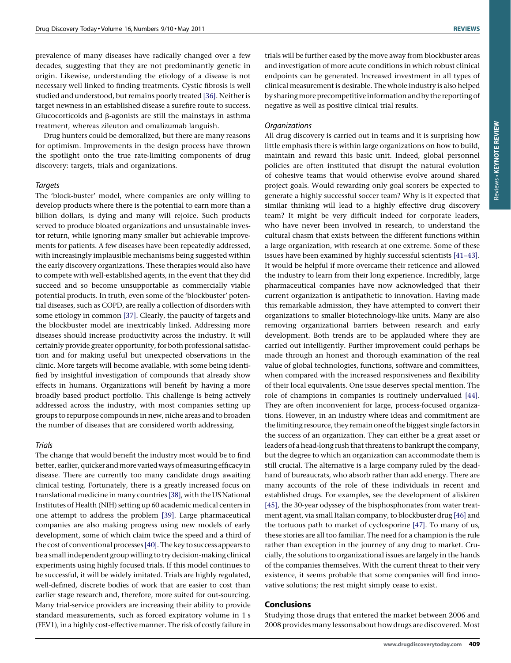prevalence of many diseases have radically changed over a few decades, suggesting that they are not predominantly genetic in origin. Likewise, understanding the etiology of a disease is not necessary well linked to finding treatments. Cystic fibrosis is well studied and understood, but remains poorly treated [\[36\].](#page-13-0) Neither is target newness in an established disease a surefire route to success. Glucocorticoids and  $\beta$ -agonists are still the mainstays in asthma treatment, whereas zileuton and omalizumab languish.

Drug hunters could be demoralized, but there are many reasons for optimism. Improvements in the design process have thrown the spotlight onto the true rate-limiting components of drug discovery: targets, trials and organizations.

#### **Targets**

The 'block-buster' model, where companies are only willing to develop products where there is the potential to earn more than a billion dollars, is dying and many will rejoice. Such products served to produce bloated organizations and unsustainable investor return, while ignoring many smaller but achievable improvements for patients. A few diseases have been repeatedly addressed, with increasingly implausible mechanisms being suggested within the early discovery organizations. These therapies would also have to compete with well-established agents, in the event that they did succeed and so become unsupportable as commercially viable potential products. In truth, even some of the 'blockbuster' potential diseases, such as COPD, are really a collection of disorders with some etiology in common [\[37\]](#page-13-0). Clearly, the paucity of targets and the blockbuster model are inextricably linked. Addressing more diseases should increase productivity across the industry. It will certainly provide greater opportunity, for both professional satisfaction and for making useful but unexpected observations in the clinic. More targets will become available, with some being identified by insightful investigation of compounds that already show effects in humans. Organizations will benefit by having a more broadly based product portfolio. This challenge is being actively addressed across the industry, with most companies setting up groups to repurpose compounds in new, niche areas and to broaden the number of diseases that are considered worth addressing.

#### **Trials**

The change that would benefit the industry most would be to find better, earlier, quicker and more varied ways of measuring efficacy in disease. There are currently too many candidate drugs awaiting clinical testing. Fortunately, there is a greatly increased focus on translational medicine in many countries [\[38\],](#page-13-0) with the US National Institutes of Health (NIH) setting up 60 academic medical centers in one attempt to address the problem [\[39\].](#page-13-0) Large pharmaceutical companies are also making progress using new models of early development, some of which claim twice the speed and a third of the cost of conventional processes [\[40\]](#page-13-0). The key to success appears to be a small independent group willing to try decision-making clinical experiments using highly focused trials. If this model continues to be successful, it will be widely imitated. Trials are highly regulated, well-defined, discrete bodies of work that are easier to cost than earlier stage research and, therefore, more suited for out-sourcing. Many trial-service providers are increasing their ability to provide standard measurements, such as forced expiratory volume in 1 s (FEV1), in a highly cost-effective manner. The risk of costly failure in

trials will be further eased by the move away from blockbuster areas and investigation of more acute conditions in which robust clinical endpoints can be generated. Increased investment in all types of clinical measurement is desirable. The whole industry is also helped by sharing more precompetitive information and by the reporting of negative as well as positive clinical trial results.

#### **Organizations**

All drug discovery is carried out in teams and it is surprising how little emphasis there is within large organizations on how to build, maintain and reward this basic unit. Indeed, global personnel policies are often instituted that disrupt the natural evolution of cohesive teams that would otherwise evolve around shared project goals. Would rewarding only goal scorers be expected to generate a highly successful soccer team? Why is it expected that similar thinking will lead to a highly effective drug discovery team? It might be very difficult indeed for corporate leaders, who have never been involved in research, to understand the cultural chasm that exists between the different functions within a large organization, with research at one extreme. Some of these issues have been examined by highly successful scientists [\[41–43\].](#page-13-0) It would be helpful if more overcame their reticence and allowed the industry to learn from their long experience. Incredibly, large pharmaceutical companies have now acknowledged that their current organization is antipathetic to innovation. Having made this remarkable admission, they have attempted to convert their organizations to smaller biotechnology-like units. Many are also removing organizational barriers between research and early development. Both trends are to be applauded where they are carried out intelligently. Further improvement could perhaps be made through an honest and thorough examination of the real value of global technologies, functions, software and committees, when compared with the increased responsiveness and flexibility of their local equivalents. One issue deserves special mention. The role of champions in companies is routinely undervalued [\[44\].](#page-13-0) They are often inconvenient for large, process-focused organizations. However, in an industry where ideas and commitment are the limiting resource, they remain one of the biggest single factors in the success of an organization. They can either be a great asset or leaders of a head-long rush that threatens to bankrupt the company, but the degree to which an organization can accommodate them is still crucial. The alternative is a large company ruled by the deadhand of bureaucrats, who absorb rather than add energy. There are many accounts of the role of these individuals in recent and established drugs. For examples, see the development of aliskiren [\[45\],](#page-13-0) the 30-year odyssey of the bisphosphonates from water treatment agent, via small Italian company, to blockbuster drug [\[46\]](#page-13-0) and the tortuous path to market of cyclosporine [\[47\].](#page-13-0) To many of us, these stories are all too familiar. The need for a champion is the rule rather than exception in the journey of any drug to market. Crucially, the solutions to organizational issues are largely in the hands of the companies themselves. With the current threat to their very existence, it seems probable that some companies will find innovative solutions; the rest might simply cease to exist.

# **Conclusions**

Studying those drugs that entered the market between 2006 and 2008 provides many lessons about how drugs are discovered. Most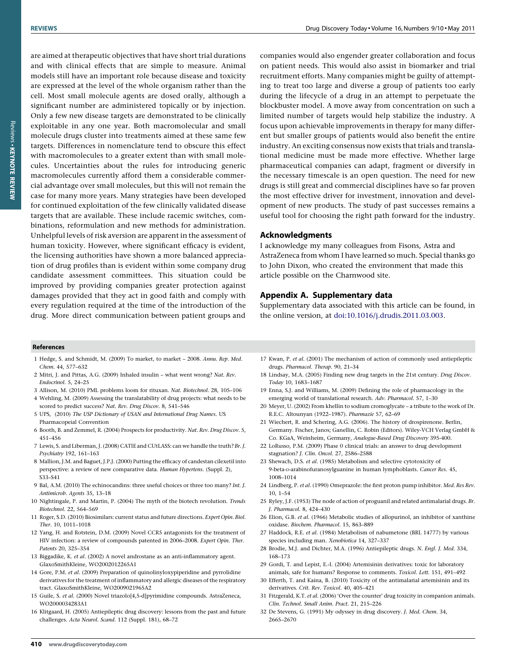Reviews - KEYNOTEREVIEW

<span id="page-12-0"></span>are aimed at therapeutic objectives that have short trial durations and with clinical effects that are simple to measure. Animal models still have an important role because disease and toxicity are expressed at the level of the whole organism rather than the cell. Most small molecule agents are dosed orally, although a significant number are administered topically or by injection. Only a few new disease targets are demonstrated to be clinically exploitable in any one year. Both macromolecular and small molecule drugs cluster into treatments aimed at these same few targets. Differences in nomenclature tend to obscure this effect with macromolecules to a greater extent than with small molecules. Uncertainties about the rules for introducing generic macromolecules currently afford them a considerable commercial advantage over small molecules, but this will not remain the case for many more years. Many strategies have been developed for continued exploitation of the few clinically validated disease targets that are available. These include racemic switches, combinations, reformulation and new methods for administration. Unhelpful levels of risk aversion are apparent in the assessment of human toxicity. However, where significant efficacy is evident, the licensing authorities have shown a more balanced appreciation of drug profiles than is evident within some company drug candidate assessment committees. This situation could be improved by providing companies greater protection against damages provided that they act in good faith and comply with every regulation required at the time of the introduction of the drug. More direct communication between patient groups and

companies would also engender greater collaboration and focus on patient needs. This would also assist in biomarker and trial recruitment efforts. Many companies might be guilty of attempting to treat too large and diverse a group of patients too early during the lifecycle of a drug in an attempt to perpetuate the blockbuster model. A move away from concentration on such a limited number of targets would help stabilize the industry. A focus upon achievable improvements in therapy for many different but smaller groups of patients would also benefit the entire industry. An exciting consensus now exists that trials and translational medicine must be made more effective. Whether large pharmaceutical companies can adapt, fragment or diversify in the necessary timescale is an open question. The need for new drugs is still great and commercial disciplines have so far proven the most effective driver for investment, innovation and development of new products. The study of past successes remains a useful tool for choosing the right path forward for the industry.

#### Acknowledgments

I acknowledge my many colleagues from Fisons, Astra and AstraZeneca from whom I have learned so much. Special thanks go to John Dixon, who created the environment that made this article possible on the Charnwood site.

# Appendix A. Supplementary data

Supplementary data associated with this article can be found, in the online version, at [doi:10.1016/j.drudis.2011.03.003.](http://dx.doi.org/10.1016/j.drudis.2011.03.003)

#### References

- 1 Hedge, S. and Schmidt, M. (2009) To market, to market 2008. Annu. Rep. Med. Chem. 44, 577–632
- 2 Mitri, J. and Pittas, A.G. (2009) Inhaled insulin what went wrong? Nat. Rev. Endocrinol. 5, 24–25
- 3 Allison, M. (2010) PML problems loom for rituxan. Nat. Biotechnol. 28, 105–106
- 4 Wehling, M. (2009) Assessing the translatability of drug projects: what needs to be scored to predict success? Nat. Rev. Drug Discov. 8, 541–546
- 5 UPS, (2010) The USP Dictionary of USAN and International Drug Names. US Pharmacopeial Convention
- 6 Booth, B. and Zemmel, R. (2004) Prospects for productivity. Nat. Rev. Drug Discov. 5, 451–456
- 7 Lewis, S. and Liberman, J. (2008) CATIE and CUtLASS: can we handle the truth? Br. J. Psychiatry 192, 161–163
- 8 Mallion, J.M. and Baguet, J.P.J. (2000) Putting the efficacy of candestan cilexetil into perspective: a review of new comparative data. Human Hypertens. (Suppl. 2), S33–S41
- 9 Bal, A.M. (2010) The echinocandins: three useful choices or three too many? Int. J. Antimicrob. Agents 35, 13–18
- 10 Nightingale, P. and Martin, P. (2004) The myth of the biotech revolution. Trends Biotechnol. 22, 564–569
- 11 Roger, S.D. (2010) Biosimilars: current status and future directions. Expert Opin. Biol. Ther. 10, 1011–1018
- 12 Yang, H. and Rotstein, D.M. (2009) Novel CCR5 antagonists for the treatment of HIV infection: a review of compounds patented in 2006–2008. Expert Opin. Ther. Patents 20, 325–354
- 13 Biggadike, K. et al. (2002) A novel androstane as an anti-inflammatory agent. GlaxoSmithKleine, WO2002012265A1
- 14 Gore, P.M. et al. (2009) Preparation of quinolinyloxypiperidine and pyrrolidine derivatives for the treatment of inflammatory and allergic diseases of the respiratory tract. GlaxoSmithKleine, WO2009021965A2
- 15 Guile, S. et al. (2000) Novel triazolo[4,5-d]pyrimidine compounds. AstraZeneca, WO2000034283A1
- 16 Klitgaard, H. (2005) Antiepileptic drug discovery: lessons from the past and future challenges. Acta Neurol. Scand. 112 (Suppl. 181), 68–72
- 17 Kwan, P. et al. (2001) The mechanism of action of commonly used antiepileptic drugs. Pharmacol. Therap. 90, 21–34
- 18 Lindsay, M.A. (2005) Finding new drug targets in the 21st century. Drug Discov. Today 10, 1683–1687
- 19 Enna, S.J. and Williams, M. (2009) Defining the role of pharmacology in the emerging world of translational research. Adv. Pharmacol. 57, 1–30
- 20 Meyer, U. (2002) From khellin to sodium cromoglycate a tribute to the work of Dr. R.E.C. Altounyan (1922–1987). Pharmazie 57, 62–69
- 21 Wiechert, R. and Schering, A.G. (2006). The history of drospirenone. Berlin, Germany. Fischer, Janos; Ganellin, C. Robin (Editors). Wiley-VCH Verlag GmbH & Co. KGaA, Weinheim, Germany, Analogue-Based Drug Discovery 395-400.
- 22 LoRusso, P.M. (2009) Phase 0 clinical trials: an answer to drug development stagnation? J. Clin. Oncol. 27, 2586–2588
- 23 Shewach, D.S. et al. (1985) Metabolism and selective cytotoxicity of 9-beta-D-arabinofuranosylguanine in human lymphoblasts. Cancer Res. 45, 1008–1014
- 24 Lindberg, P. et al. (1990) Omeprazole: the first proton pump inhibitor. Med. Res Rev. 10, 1–54
- 25 Ryley, J.F. (1953) The node of action of proguanil and related antimalarial drugs. Br. J. Pharmacol. 8, 424–430
- 26 Elion, G.B. et al. (1966) Metabolic studies of allopurinol, an inhibitor of xanthine oxidase. Biochem. Pharmacol. 15, 863–889
- 27 Haddock, R.E. et al. (1984) Metabolism of nabumetone (BRL 14777) by various species including man. Xenobiotica 14, 327–337
- 28 Brodie, M.J. and Dichter, M.A. (1996) Antiepileptic drugs. N. Engl. J. Med. 334, 168–173
- 29 Gordi, T. and Lepist, E.-I. (2004) Artemisinin derivatives: toxic for laboratory animals, safe for humans? Response to comments. Toxicol. Lett. 151, 491–492
- 30 Efferth, T. and Kaina, B. (2010) Toxicity of the antimalarial artemisinin and its derivatives. Crit. Rev. Toxicol. 40, 405–421
- 31 Fitzgerald, K.T. et al. (2006) 'Over the counter' drug toxicity in companion animals. Clin. Technol. Small Anim. Pract. 21, 215–226
- 32 De Stevens, G. (1991) My odyssey in drug discovery. J. Med. Chem. 34, 2665–2670